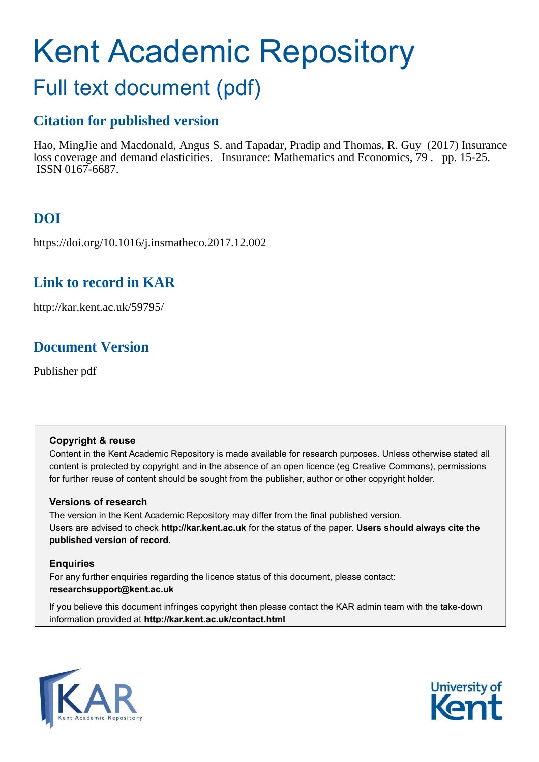# Kent Academic Repository

# Full text document (pdf)

# **Citation for published version**

Hao, MingJie and Macdonald, Angus S. and Tapadar, Pradip and Thomas, R. Guy (2017) Insurance loss coverage and demand elasticities. Insurance: Mathematics and Economics, 79 . pp. 15-25. ISSN 0167-6687.

# <span id="page-0-1"></span><span id="page-0-0"></span>**DOI**

https://doi.org/10.1016/j.insmatheco.2017.12.002

# **Link to record in KAR**

http://kar.kent.ac.uk/59795/

# **Document Version**

Publisher pdf

## **Copyright & reuse**

Content in the Kent Academic Repository is made available for research purposes. Unless otherwise stated all content is protected by copyright and in the absence of an open licence (eg Creative Commons), permissions for further reuse of content should be sought from the publisher, author or other copyright holder.

## **Versions of research**

The version in the Kent Academic Repository may differ from the final published version. Users are advised to check **http://kar.kent.ac.uk** for the status of the paper. **Users should always cite the published version of record.**

## **Enquiries**

For any further enquiries regarding the licence status of this document, please contact: **researchsupport@kent.ac.uk**

<span id="page-0-2"></span>If you believe this document infringes copyright then please contact the KAR admin team with the take-down information provided at **http://kar.kent.ac.uk/contact.html**



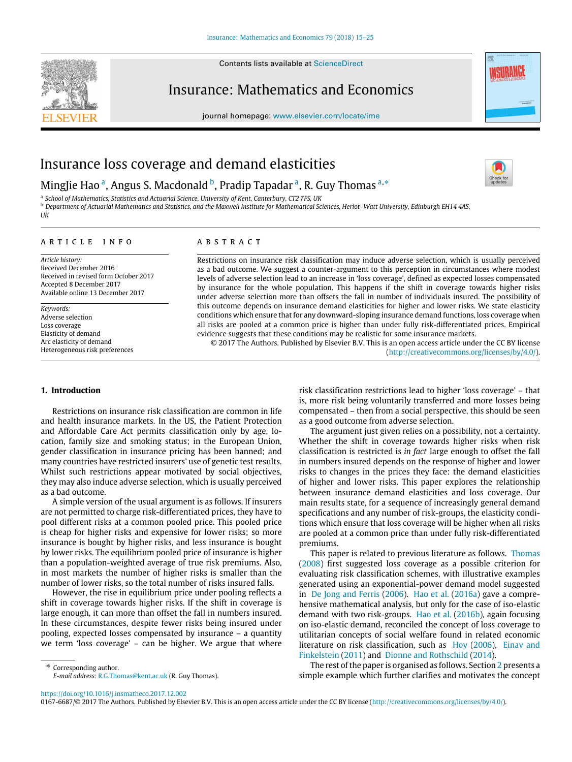Contents lists available at [ScienceDirect](http://www.elsevier.com/locate/ime)



Insurance: Mathematics and Economics

journal homepage: [www.elsevier.com/locate/ime](http://www.elsevier.com/locate/ime)



## Insurance loss coverage and demand elasticities

### <span id="page-1-0"></span>MingJie H[a](#page-0-0)o <sup>a</sup>, Angus S. Macdonald <sup>[b](#page-0-1)</sup>, Pradip Tapadar <sup>a</sup>, R. Guy Thomas <sup>[a,](#page-0-0)</sup>[\\*](#page-0-2)

a *School of Mathematics, Statistics and Actuarial Science, University of Kent, Canterbury, CT2 7FS, UK*

<sup>b</sup> *Department of Actuarial Mathematics and Statistics, and the Maxwell Institute for Mathematical Sciences, Heriot–Watt University, Edinburgh EH14 4AS, UK*

#### a r t i c l e i n f o

*Article history:* Received December 2016 Received in revised form October 2017 Accepted 8 December 2017 Available online 13 December 2017

*Keywords:* Adverse selection Loss coverage Elasticity of demand Arc elasticity of demand Heterogeneous risk preferences

#### A B S T R A C T

Restrictions on insurance risk classification may induce adverse selection, which is usually perceived as a bad outcome. We suggest a counter-argument to this perception in circumstances where modest levels of adverse selection lead to an increase in 'loss coverage', defined as expected losses compensated by insurance for the whole population. This happens if the shift in coverage towards higher risks under adverse selection more than offsets the fall in number of individuals insured. The possibility of this outcome depends on insurance demand elasticities for higher and lower risks. We state elasticity conditions which ensure that for any downward-sloping insurance demand functions, loss coverage when all risks are pooled at a common price is higher than under fully risk-differentiated prices. Empirical evidence suggests that these conditions may be realistic for some insurance markets.

© 2017 The Authors. Published by Elsevier B.V. This is an open access article under the CC BY license [\(http://creativecommons.org/licenses/by/4.0/\)](http://creativecommons.org/licenses/by/4.0/).

#### **1. Introduction**

Restrictions on insurance risk classification are common in life and health insurance markets. In the US, the Patient Protection and Affordable Care Act permits classification only by age, location, family size and smoking status; in the European Union, gender classification in insurance pricing has been banned; and many countries have restricted insurers' use of genetic test results. Whilst such restrictions appear motivated by social objectives, they may also induce adverse selection, which is usually perceived as a bad outcome.

A simple version of the usual argument is as follows. If insurers are not permitted to charge risk-differentiated prices, they have to pool different risks at a common pooled price. This pooled price is cheap for higher risks and expensive for lower risks; so more insurance is bought by higher risks, and less insurance is bought by lower risks. The equilibrium pooled price of insurance is higher than a population-weighted average of true risk premiums. Also, in most markets the number of higher risks is smaller than the number of lower risks, so the total number of risks insured falls.

However, the rise in equilibrium price under pooling reflects a shift in coverage towards higher risks. If the shift in coverage is large enough, it can more than offset the fall in numbers insured. In these circumstances, despite fewer risks being insured under pooling, expected losses compensated by insurance – a quantity we term 'loss coverage' – can be higher. We argue that where

<span id="page-1-2"></span>\* Corresponding author. *E-mail address:* [R.G.Thomas@kent.ac.uk](mailto:R.G.Thomas@kent.ac.uk) (R. Guy Thomas). <span id="page-1-1"></span>risk classification restrictions lead to higher 'loss coverage' – that is, more risk being voluntarily transferred and more losses being compensated – then from a social perspective, this should be seen as a good outcome from adverse selection.

The argument just given relies on a possibility, not a certainty. Whether the shift in coverage towards higher risks when risk classification is restricted is *in fact* large enough to offset the fall in numbers insured depends on the response of higher and lower risks to changes in the prices they face: the demand elasticities of higher and lower risks. This paper explores the relationship between insurance demand elasticities and loss coverage. Our main results state, for a sequence of increasingly general demand specifications and any number of risk-groups, the elasticity conditions which ensure that loss coverage will be higher when all risks are pooled at a common price than under fully risk-differentiated premiums.

This paper is related to previous literature as follows. [Thomas](#page-10-0) [\(2008\)](#page-10-0) first suggested loss coverage as a possible criterion for evaluating risk classification schemes, with illustrative examples generated using an exponential-power demand model suggested in [De Jong and Ferris](#page-10-1) [\(2006\)](#page-10-1). [Hao et al.](#page-10-2) [\(2016a\)](#page-10-2) gave a comprehensive mathematical analysis, but only for the case of iso-elastic demand with two risk-groups. [Hao et al.](#page-10-3) [\(2016b\)](#page-10-3), again focusing on iso-elastic demand, reconciled the concept of loss coverage to utilitarian concepts of social welfare found in related economic literature on risk classification, such as [Hoy](#page-10-4) [\(2006\)](#page-10-4), [Einav and](#page-10-5) [Finkelstein](#page-10-5) [\(2011\)](#page-10-5) and [Dionne and Rothschild](#page-10-6) [\(2014\)](#page-10-6).

The rest of the paper is organised as follows. Section [2](#page-1-0) presents a simple example which further clarifies and motivates the concept

<https://doi.org/10.1016/j.insmatheco.2017.12.002>

0167-6687/© 2017 The Authors. Published by Elsevier B.V. This is an open access article under the CC BY license [\(http://creativecommons.org/licenses/by/4.0/\)](http://creativecommons.org/licenses/by/4.0/).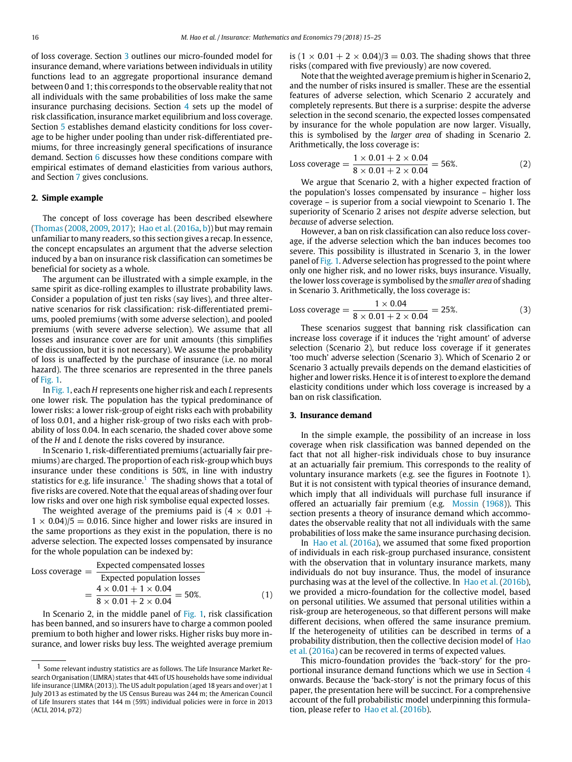<span id="page-2-0"></span>of loss coverage. Section [3](#page-1-1) outlines our micro-founded model for insurance demand, where variations between individuals in utility functions lead to an aggregate proportional insurance demand between 0 and 1; this corresponds to the observable reality that not all individuals with the same probabilities of loss make the same insurance purchasing decisions. Section [4](#page-3-0) sets up the model of risk classification, insurance market equilibrium and loss coverage. Section [5](#page-4-0) establishes demand elasticity conditions for loss coverage to be higher under pooling than under risk-differentiated premiums, for three increasingly general specifications of insurance demand. Section [6](#page-7-0) discusses how these conditions compare with empirical estimates of demand elasticities from various authors, and Section [7](#page-7-1) gives conclusions.

#### **2. Simple example**

The concept of loss coverage has been described elsewhere [\(Thomas](#page-10-0) [\(2008,](#page-10-0) [2009,](#page-10-0) [2017\)](#page-10-0); [Hao et al.](#page-10-2) [\(2016a,](#page-10-2) [b\)](#page-10-2)) but may remain unfamiliar to many readers, so this section gives a recap. In essence, the concept encapsulates an argument that the adverse selection induced by a ban on insurance risk classification can sometimes be beneficial for society as a whole.

The argument can be illustrated with a simple example, in the same spirit as dice-rolling examples to illustrate probability laws. Consider a population of just ten risks (say lives), and three alternative scenarios for risk classification: risk-differentiated premiums, pooled premiums (with some adverse selection), and pooled premiums (with severe adverse selection). We assume that all losses and insurance cover are for unit amounts (this simplifies the discussion, but it is not necessary). We assume the probability of loss is unaffected by the purchase of insurance (i.e. no moral hazard). The three scenarios are represented in the three panels of [Fig. 1.](#page-2-0)

In [Fig. 1,](#page-2-0) each *H* represents one higher risk and each *L* represents one lower risk. The population has the typical predominance of lower risks: a lower risk-group of eight risks each with probability of loss 0.01, and a higher risk-group of two risks each with probability of loss 0.04. In each scenario, the shaded cover above some of the *H* and *L* denote the risks covered by insurance.

In Scenario 1, risk-differentiated premiums (actuarially fair premiums) are charged. The proportion of each risk-group which buys insurance under these conditions is 50%, in line with industry statistics for e.g. life insurance.<sup>[1](#page-1-2)</sup> The shading shows that a total of five risks are covered. Note that the equal areas of shading over four low risks and over one high risk symbolise equal expected losses.

<span id="page-2-1"></span>The weighted average of the premiums paid is  $(4 \times 0.01 +$  $1 \times 0.04$ //5 = 0.016. Since higher and lower risks are insured in the same proportions as they exist in the population, there is no adverse selection. The expected losses compensated by insurance for the whole population can be indexed by:

Loss coverage = 
$$
\frac{\text{Expected compensation losses}}{\text{Expected population losses}}
$$

$$
= \frac{4 \times 0.01 + 1 \times 0.04}{8 \times 0.01 + 2 \times 0.04} = 50\%.
$$
 (1)

In Scenario 2, in the middle panel of [Fig. 1,](#page-2-0) risk classification has been banned, and so insurers have to charge a common pooled premium to both higher and lower risks. Higher risks buy more insurance, and lower risks buy less. The weighted average premium is (1  $\times$  0.01 + 2  $\times$  0.04)/3 = 0.03. The shading shows that three risks (compared with five previously) are now covered.

Note that the weighted average premium is higher in Scenario 2, and the number of risks insured is smaller. These are the essential features of adverse selection, which Scenario 2 accurately and completely represents. But there is a surprise: despite the adverse selection in the second scenario, the expected losses compensated by insurance for the whole population are now larger. Visually, this is symbolised by the *larger area* of shading in Scenario 2. Arithmetically, the loss coverage is:

Loss coverage = 
$$
\frac{1 \times 0.01 + 2 \times 0.04}{8 \times 0.01 + 2 \times 0.04} = 56\%.
$$
 (2)

We argue that Scenario 2, with a higher expected fraction of the population's losses compensated by insurance – higher loss coverage – is superior from a social viewpoint to Scenario 1. The superiority of Scenario 2 arises not *despite* adverse selection, but *because* of adverse selection.

However, a ban on risk classification can also reduce loss coverage, if the adverse selection which the ban induces becomes too severe. This possibility is illustrated in Scenario 3, in the lower panel of [Fig. 1.](#page-2-0) Adverse selection has progressed to the point where only one higher risk, and no lower risks, buys insurance. Visually, the lower loss coverage is symbolised by the *smaller area* of shading in Scenario 3. Arithmetically, the loss coverage is:

Loss coverage = 
$$
\frac{1 \times 0.04}{8 \times 0.01 + 2 \times 0.04} = 25\%.
$$
 (3)

These scenarios suggest that banning risk classification can increase loss coverage if it induces the 'right amount' of adverse selection (Scenario 2), but reduce loss coverage if it generates 'too much' adverse selection (Scenario 3). Which of Scenario 2 or Scenario 3 actually prevails depends on the demand elasticities of higher and lower risks. Hence it is of interest to explore the demand elasticity conditions under which loss coverage is increased by a ban on risk classification.

#### **3. Insurance demand**

In the simple example, the possibility of an increase in loss coverage when risk classification was banned depended on the fact that not all higher-risk individuals chose to buy insurance at an actuarially fair premium. This corresponds to the reality of voluntary insurance markets (e.g. see the figures in Footnote 1). But it is not consistent with typical theories of insurance demand, which imply that all individuals will purchase full insurance if offered an actuarially fair premium (e.g. [Mossin](#page-10-7) [\(1968\)](#page-10-7)). This section presents a theory of insurance demand which accommodates the observable reality that not all individuals with the same probabilities of loss make the same insurance purchasing decision.

<span id="page-2-3"></span>In [Hao et al.](#page-10-2) [\(2016a\)](#page-10-2), we assumed that some fixed proportion of individuals in each risk-group purchased insurance, consistent with the observation that in voluntary insurance markets, many individuals do not buy insurance. Thus, the model of insurance purchasing was at the level of the collective. In [Hao et al.](#page-10-3) [\(2016b\)](#page-10-3), we provided a micro-foundation for the collective model, based on personal utilities. We assumed that personal utilities within a risk-group are heterogeneous, so that different persons will make different decisions, when offered the same insurance premium. If the heterogeneity of utilities can be described in terms of a probability distribution, then the collective decision model of [Hao](#page-10-2) [et al.](#page-10-2) [\(2016a\)](#page-10-2) can be recovered in terms of expected values.

This micro-foundation provides the 'back-story' for the proportional insurance demand functions which we use in Section [4](#page-3-0) onwards. Because the 'back-story' is not the primary focus of this paper, the presentation here will be succinct. For a comprehensive account of the full probabilistic model underpinning this formulation, please refer to [Hao et al.](#page-10-3) [\(2016b\)](#page-10-3).

<span id="page-2-2"></span><sup>1</sup> Some relevant industry statistics are as follows. The Life Insurance Market Research Organisation (LIMRA) states that 44% of US households have some individual life insurance (LIMRA (2013)). The US adult population (aged 18 years and over) at 1 July 2013 as estimated by the US Census Bureau was 244 m; the American Council of Life Insurers states that 144 m (59%) individual policies were in force in 2013 (ACLI, 2014, p72)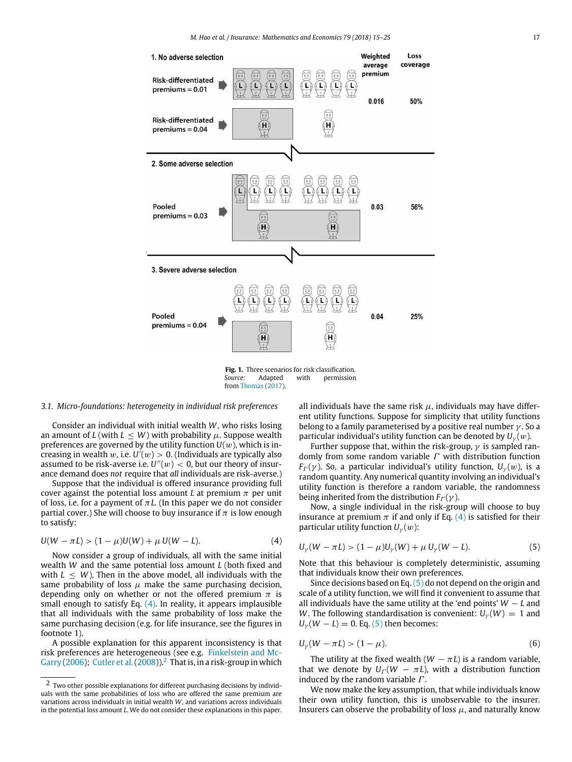<span id="page-3-4"></span>

*Source:* Adapted with permission

#### from [Thomas](#page-10-8) [\(2017\)](#page-10-8).

#### *3.1. Micro-foundations: heterogeneity in individual risk preferences*

Consider an individual with initial wealth *W*, who risks losing an amount of *L* (with  $L \leq W$ ) with probability  $\mu$ . Suppose wealth preferences are governed by the utility function  $U(w)$ , which is increasing in wealth  $w$ , i.e.  $U'(w) > 0$ . (Individuals are typically also assumed to be risk-averse i.e.  $U''(w) < 0$ , but our theory of insurance demand does *not* require that *all* individuals are risk-averse.)

Suppose that the individual is offered insurance providing full cover against the potential loss amount *L* at premium  $\pi$  per unit of loss, i.e. for a payment of  $\pi L$ . (In this paper we do not consider partial cover.) She will choose to buy insurance if  $\pi$  is low enough to satisfy:

<span id="page-3-2"></span>
$$
U(W - \pi L) > (1 - \mu)U(W) + \mu U(W - L). \tag{4}
$$

<span id="page-3-1"></span>Now consider a group of individuals, all with the same initial wealth *W* and the same potential loss amount *L* (both fixed and with  $L \leq W$ ). Then in the above model, all individuals with the same probability of loss  $\mu$  make the same purchasing decision, depending only on whether or not the offered premium  $\pi$  is small enough to satisfy Eq.  $(4)$ . In reality, it appears implausible that all individuals with the same probability of loss make the same purchasing decision (e.g. for life insurance, see the figures in footnote 1).

<span id="page-3-0"></span>A possible explanation for this apparent inconsistency is that [r](#page-10-9)isk preferences are heterogeneous (see e.g. [Finkelstein and Mc-](#page-10-9)[Garry](#page-10-9) [\(2006\)](#page-10-9); Cutler et al. ([2](#page-2-2)008)).<sup>2</sup> That is, in a risk-group in which all individuals have the same risk  $\mu$ , individuals may have different utility functions. Suppose for simplicity that utility functions belong to a family parameterised by a positive real number  $\gamma$ . So a particular individual's utility function can be denoted by  $U_{\gamma}(w)$ .

Further suppose that, within the risk-group,  $\gamma$  is sampled randomly from some random variable  $\Gamma$  with distribution function *F*<sub>Γ</sub>( $\gamma$ ). So, a particular individual's utility function,  $U_{\gamma}(w)$ , is a random quantity. Any numerical quantity involving an individual's utility function is therefore a random variable, the randomness being inherited from the distribution  $F_{\Gamma}(\gamma)$ .

Now, a single individual in the risk-group will choose to buy insurance at premium  $\pi$  if and only if Eq. [\(4\)](#page-2-1) is satisfied for their particular utility function  $U_{\gamma}(w)$ :

$$
U_{\gamma}(W - \pi L) > (1 - \mu)U_{\gamma}(W) + \mu U_{\gamma}(W - L). \tag{5}
$$

Note that this behaviour is completely deterministic, assuming that individuals know their own preferences.

Since decisions based on Eq.  $(5)$  do not depend on the origin and scale of a utility function, we will find it convenient to assume that all individuals have the same utility at the 'end points' *W* − *L* and *W*. The following standardisation is convenient:  $U_{\nu}(W) = 1$  and  $U_{\nu}(W - L) = 0$ . Eq. [\(5\)](#page-2-3) then becomes:

<span id="page-3-3"></span>
$$
U_{\gamma}(W - \pi L) > (1 - \mu). \tag{6}
$$

The utility at the fixed wealth  $(W - \pi L)$  is a random variable, that we denote by  $U_{\Gamma}(W - \pi L)$ , with a distribution function induced by the random variable  $\Gamma$ .

We now make the key assumption, that while individuals know their own utility function, this is unobservable to the insurer. Insurers can observe the probability of loss  $\mu$ , and naturally know

<sup>2</sup> Two other possible explanations for different purchasing decisions by individuals with the same probabilities of loss who are offered the same premium are variations across individuals in initial wealth *W*, and variations across individuals in the potential loss amount *L*. We do not consider these explanations in this paper.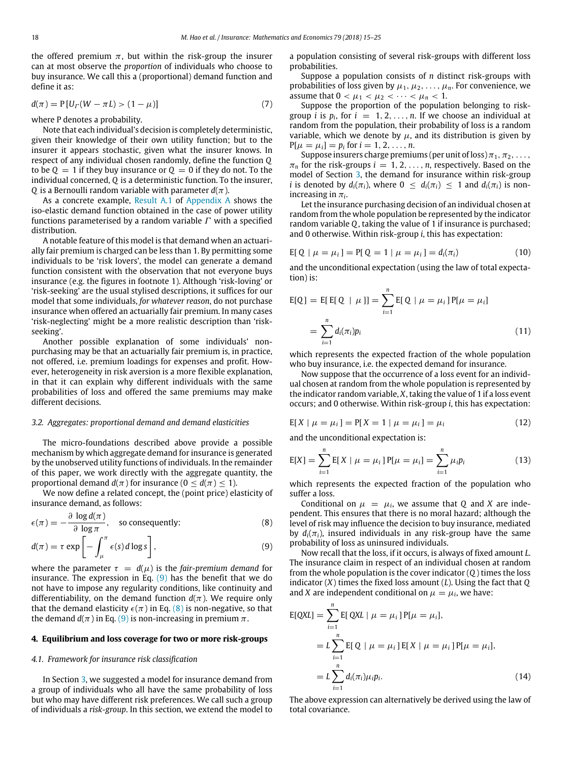the offered premium  $\pi$ , but within the risk-group the insurer can at most observe the *proportion* of individuals who choose to buy insurance. We call this a (proportional) demand function and define it as:

$$
d(\pi) = P[U_{\Gamma}(W - \pi L) > (1 - \mu)]
$$
\n(7)

where P denotes a probability.

Note that each individual's decision is completely deterministic, given their knowledge of their own utility function; but to the insurer it appears stochastic, given what the insurer knows. In respect of any individual chosen randomly, define the function *Q* to be  $Q = 1$  if they buy insurance or  $Q = 0$  if they do not. To the individual concerned, *Q* is a deterministic function. To the insurer, *Q* is a Bernoulli random variable with parameter  $d(\pi)$ .

As a concrete example, [Result A.1](#page-8-0) of [Appendix A](#page-7-2) shows the iso-elastic demand function obtained in the case of power utility functions parameterised by a random variable  $\Gamma$  with a specified distribution.

<span id="page-4-1"></span>A notable feature of this model is that demand when an actuarially fair premium is charged can be less than 1. By permitting some individuals to be 'risk lovers', the model can generate a demand function consistent with the observation that not everyone buys insurance (e.g. the figures in footnote 1). Although 'risk-loving' or 'risk-seeking' are the usual stylised descriptions, it suffices for our model that some individuals, *for whatever reason*, do not purchase insurance when offered an actuarially fair premium. In many cases 'risk-neglecting' might be a more realistic description than 'riskseeking'.

<span id="page-4-4"></span>Another possible explanation of some individuals' nonpurchasing may be that an actuarially fair premium is, in practice, not offered, i.e. premium loadings for expenses and profit. However, heterogeneity in risk aversion is a more flexible explanation, in that it can explain why different individuals with the same probabilities of loss and offered the same premiums may make different decisions.

#### *3.2. Aggregates: proportional demand and demand elasticities*

The micro-foundations described above provide a possible mechanism by which aggregate demand for insurance is generated by the unobserved utility functions of individuals. In the remainder of this paper, we work directly with the aggregate quantity, the proportional demand  $d(\pi)$  for insurance ( $0 \leq d(\pi) \leq 1$ ).

We now define a related concept, the (point price) elasticity of insurance demand, as follows:

$$
\epsilon(\pi) = -\frac{\partial \log d(\pi)}{\partial \log \pi}, \quad \text{so consequently:} \tag{8}
$$
\n
$$
d(\pi) = \tau \exp\left[-\int_{\mu}^{\pi} \epsilon(s) \, d\log s\right], \tag{9}
$$

where the parameter  $\tau = d(\mu)$  is the *fair-premium demand* for insurance. The expression in Eq.  $(9)$  has the benefit that we do not have to impose any regularity conditions, like continuity and differentiability, on the demand function  $d(\pi)$ . We require only that the demand elasticity  $\epsilon(\pi)$  in Eq. [\(8\)](#page-3-2) is non-negative, so that the demand  $d(\pi)$  in Eq. [\(9\)](#page-3-1) is non-increasing in premium  $\pi$ .

#### **4. Equilibrium and loss coverage for two or more risk-groups**

#### <span id="page-4-2"></span>*4.1. Framework for insurance risk classification*

In Section [3,](#page-1-1) we suggested a model for insurance demand from a group of individuals who all have the same probability of loss but who may have different risk preferences. We call such a group of individuals a *risk-group*. In this section, we extend the model to a population consisting of several risk-groups with different loss probabilities.

<span id="page-4-6"></span>Suppose a population consists of *n* distinct risk-groups with probabilities of loss given by  $\mu_1, \mu_2, \ldots, \mu_n$ . For convenience, we assume that  $0 < \mu_1 < \mu_2 < \cdots < \mu_n < 1$ .

<span id="page-4-0"></span>Suppose the proportion of the population belonging to riskgroup *i* is  $p_i$ , for  $i = 1, 2, ..., n$ . If we choose an individual at random from the population, their probability of loss is a random variable, which we denote by  $\mu$ , and its distribution is given by  $P[\mu = \mu_i] = p_i \text{ for } i = 1, 2, ..., n.$ 

Suppose insurers charge premiums (per unit of loss)  $\pi_1, \pi_2, \ldots$  $\pi_n$  for the risk-groups  $i = 1, 2, \ldots, n$ , respectively. Based on the model of Section [3,](#page-1-1) the demand for insurance within risk-group *i* is denoted by  $d_i(\pi_i)$ , where  $0 \leq d_i(\pi_i) \leq 1$  and  $d_i(\pi_i)$  is nonincreasing in  $\pi_i$ .

<span id="page-4-7"></span>Let the insurance purchasing decision of an individual chosen at random from the whole population be represented by the indicator random variable *Q*, taking the value of 1 if insurance is purchased; and 0 otherwise. Within risk-group *i*, this has expectation:

$$
E[Q \mid \mu = \mu_i] = P[Q = 1 \mid \mu = \mu_i] = d_i(\pi_i)
$$
\n(10)

and the unconditional expectation (using the law of total expectation) is:

<span id="page-4-3"></span>
$$
E[Q] = E[E[Q | \mu]] = \sum_{i=1}^{n} E[Q | \mu = \mu_i] P[\mu = \mu_i]
$$
  
= 
$$
\sum_{i=1}^{n} d_i(\pi_i) p_i
$$
 (11)

which represents the expected fraction of the whole population who buy insurance, i.e. the expected demand for insurance.

Now suppose that the occurrence of a loss event for an individual chosen at random from the whole population is represented by the indicator random variable, *X*, taking the value of 1 if a loss event occurs; and 0 otherwise. Within risk-group *i*, this has expectation:

$$
E[X \mid \mu = \mu_i] = P[X = 1 \mid \mu = \mu_i] = \mu_i
$$
\n(12)

and the unconditional expectation is:

$$
E[X] = \sum_{i=1}^{n} E[X \mid \mu = \mu_i] P[\mu = \mu_i] = \sum_{i=1}^{n} \mu_i p_i
$$
 (13)

<span id="page-4-5"></span>which represents the expected fraction of the population who suffer a loss.

Conditional on  $\mu = \mu_i$ , we assume that Q and X are independent. This ensures that there is no moral hazard; although the level of risk may influence the decision to buy insurance, mediated by  $d_i(\pi_i)$ , insured individuals in any risk-group have the same probability of loss as uninsured individuals.

Now recall that the loss, if it occurs, is always of fixed amount *L*. The insurance claim in respect of an individual chosen at random from the whole population is the cover indicator (*Q*) times the loss indicator (*X*) times the fixed loss amount (*L*). Using the fact that *Q* and *X* are independent conditional on  $\mu = \mu_i$ , we have:

$$
E[QXL] = \sum_{i=1}^{n} E[ QXL \mid \mu = \mu_i ] P[\mu = \mu_i],
$$
  
=  $L \sum_{i=1}^{n} E[ Q \mid \mu = \mu_i ] E[X \mid \mu = \mu_i ] P[\mu = \mu_i],$   
=  $L \sum_{i=1}^{n} d_i(\pi_i) \mu_i p_i.$  (14)

The above expression can alternatively be derived using the law of total covariance.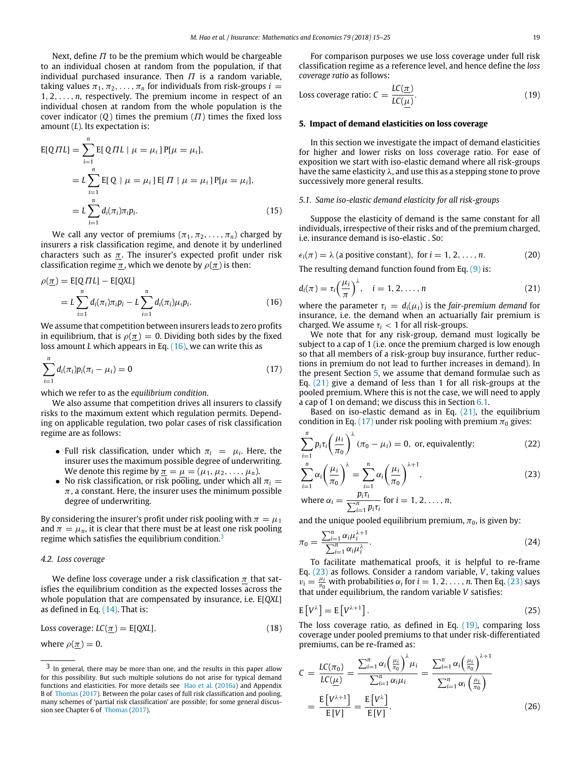<span id="page-5-0"></span>Next, define  $\Pi$  to be the premium which would be chargeable to an individual chosen at random from the population, if that individual purchased insurance. Then  $\Pi$  is a random variable, taking values  $\pi_1, \pi_2, \ldots, \pi_n$  for individuals from risk-groups  $i =$  $1, 2, \ldots, n$ , respectively. The premium income in respect of an individual chosen at random from the whole population is the cover indicator ( $Q$ ) times the premium ( $\Pi$ ) times the fixed loss amount (*L*). Its expectation is:

$$
E[Q \Pi L] = \sum_{i=1}^{n} E[Q \Pi L | \mu = \mu_i] P[\mu = \mu_i],
$$
  
=  $L \sum_{i=1}^{n} E[Q | \mu = \mu_i] E[\Pi | \mu = \mu_i] P[\mu = \mu_i],$   
=  $L \sum_{i=1}^{n} d_i(\pi_i) \pi_i p_i.$  (15)

We call any vector of premiums  $(\pi_1, \pi_2, \ldots, \pi_n)$  charged by insurers a risk classification regime, and denote it by underlined characters such as  $\pi$ . The insurer's expected profit under risk classification regime  $\pi$ , which we denote by  $\rho(\pi)$  is then:

$$
\rho(\underline{\pi}) = E[Q \Pi L] - E[Q \chi L]
$$
  
=  $L \sum_{i=1}^{n} d_i(\pi_i) \pi_i p_i - L \sum_{i=1}^{n} d_i(\pi_i) \mu_i p_i.$  (16)

We assume that competition between insurers leads to zero profits in equilibrium, that is  $\rho(\pi) = 0$ . Dividing both sides by the fixed loss amount *L* which appears in Eq. [\(16\),](#page-4-1) we can write this as

<span id="page-5-3"></span>
$$
\sum_{i=1}^{n} d_i(\pi_i) p_i(\pi_i - \mu_i) = 0
$$
\n(17)

which we refer to as the *equilibrium condition*.

<span id="page-5-4"></span>We also assume that competition drives all insurers to classify risks to the maximum extent which regulation permits. Depending on applicable regulation, two polar cases of risk classification regime are as follows:

- Full risk classification, under which  $\pi_i = \mu_i$ . Here, the insurer uses the maximum possible degree of underwriting. We denote this regime by  $\pi = \mu = (\mu_1, \mu_2, \dots, \mu_n)$ .
- No risk classification, or risk pooling, under which all  $\pi_i =$  $\pi$ , a constant. Here, the insurer uses the minimum possible degree of underwriting.

By considering the insurer's profit under risk pooling with  $\pi = \mu_1$ and  $\pi = \mu_n$ , it is clear that there must be at least one risk pooling regime which satisfies the equilibrium condition.<sup>[3](#page-4-2)</sup>

#### *4.2. Loss coverage*

We define loss coverage under a risk classification  $\pi$  that satisfies the equilibrium condition as the expected losses across the whole population that are compensated by insurance, i.e. E[*QXL*] as defined in Eq. [\(14\).](#page-3-3) That is:

<span id="page-5-5"></span>Loss coverage: 
$$
LC(\underline{\pi}) = E[QXL]
$$
, (18)

<span id="page-5-1"></span>where  $\rho(\pi) = 0$ .

For comparison purposes we use loss coverage under full risk classification regime as a reference level, and hence define the *loss coverage ratio* as follows:

Loss coverage ratio: 
$$
C = \frac{LC(\pi)}{LC(\mu)}
$$
. (19)

#### **5. Impact of demand elasticities on loss coverage**

In this section we investigate the impact of demand elasticities for higher and lower risks on loss coverage ratio. For ease of exposition we start with iso-elastic demand where all risk-groups have the same elasticity  $\lambda$ , and use this as a stepping stone to prove successively more general results.

#### *5.1. Same iso-elastic demand elasticity for all risk-groups*

Suppose the elasticity of demand is the same constant for all individuals, irrespective of their risks and of the premium charged, i.e. insurance demand is iso-elastic . So:

$$
\epsilon_i(\pi) = \lambda \text{ (a positive constant), for } i = 1, 2, \dots, n. \tag{20}
$$

The resulting demand function found from Eq. [\(9\)](#page-3-1) is:

<span id="page-5-6"></span>
$$
d_i(\pi) = \tau_i \left(\frac{\mu_i}{\pi}\right)^{\lambda}, \quad i = 1, 2, \dots, n
$$
\n(21)

where the parameter  $\tau_i = d_i(\mu_i)$  is the *fair-premium demand* for insurance, i.e. the demand when an actuarially fair premium is charged. We assume  $\tau_i$  < 1 for all risk-groups.

<span id="page-5-7"></span><span id="page-5-2"></span>We note that for any risk-group, demand must logically be subject to a cap of 1 (i.e. once the premium charged is low enough so that all members of a risk-group buy insurance, further reductions in premium do not lead to further increases in demand). In the present Section [5,](#page-4-0) we assume that demand formulae such as Eq. [\(21\)](#page-4-3) give a demand of less than 1 for all risk-groups at the pooled premium. Where this is not the case, we will need to apply a cap of 1 on demand; we discuss this in Section [6.1.](#page-7-3)

Based on iso-elastic demand as in Eq.  $(21)$ , the equilibrium condition in Eq. [\(17\)](#page-4-4) under risk pooling with premium  $\pi_0$  gives:

$$
\sum_{i=1}^{n} p_i \tau_i \left(\frac{\mu_i}{\pi_0}\right)^{\lambda} (\pi_0 - \mu_i) = 0, \text{ or, equivalently:}
$$
 (22)

$$
\sum_{i=1}^{n} \alpha_i \left(\frac{\mu_i}{\pi_0}\right)^{\lambda} = \sum_{i=1}^{n} \alpha_i \left(\frac{\mu_i}{\pi_0}\right)^{\lambda+1},\tag{23}
$$

where 
$$
\alpha_i = \frac{p_i \tau_i}{\sum_{i=1}^n p_i \tau_i}
$$
 for  $i = 1, 2, ..., n$ ,

and the unique pooled equilibrium premium,  $\pi_0$ , is given by:

$$
\pi_0 = \frac{\sum_{i=1}^n \alpha_i \mu_i^{\lambda+1}}{\sum_{i=1}^n \alpha_i \mu_i^{\lambda}}.
$$
\n(24)

To facilitate mathematical proofs, it is helpful to re-frame Eq. [\(23\)](#page-4-5) as follows. Consider a random variable, *V*, taking values  $v_i = \frac{\mu_i}{\pi_0}$  with probabilities  $\alpha_i$  for  $i = 1, 2, ..., n$ . Then Eq. [\(23\)](#page-4-5) says that under equilibrium, the random variable *V* satisfies:

$$
E[V^{\lambda}] = E[V^{\lambda+1}].
$$
\n(25)

The loss coverage ratio, as defined in Eq. [\(19\),](#page-4-6) comparing loss coverage under pooled premiums to that under risk-differentiated premiums, can be re-framed as:

)<sup>λ</sup>+<sup>1</sup>

$$
C = \frac{LC(\pi_0)}{LC(\mu)} = \frac{\sum_{i=1}^n \alpha_i \left(\frac{\mu_i}{\pi_0}\right)^{\lambda} \mu_i}{\sum_{i=1}^n \alpha_i \mu_i} = \frac{\sum_{i=1}^n \alpha_i \left(\frac{\mu_i}{\pi_0}\right)^{\lambda+1}}{\sum_{i=1}^n \alpha_i \left(\frac{\mu_i}{\pi_0}\right)}
$$

$$
= \frac{E[V^{\lambda+1}]}{E[V]} = \frac{E[V^{\lambda}]}{E[V]}.
$$
(26)

<sup>3</sup> In general, there may be more than one, and the results in this paper allow for this possibility. But such multiple solutions do not arise for typical demand functions and elasticities. For more details see [Hao et al.](#page-10-2) [\(2016a\)](#page-10-2) and Appendix B of [Thomas](#page-10-8) [\(2017\)](#page-10-8). Between the polar cases of full risk classification and pooling, many schemes of 'partial risk classification' are possible; for some general discussion see Chapter 6 of [Thomas](#page-10-8) [\(2017\)](#page-10-8).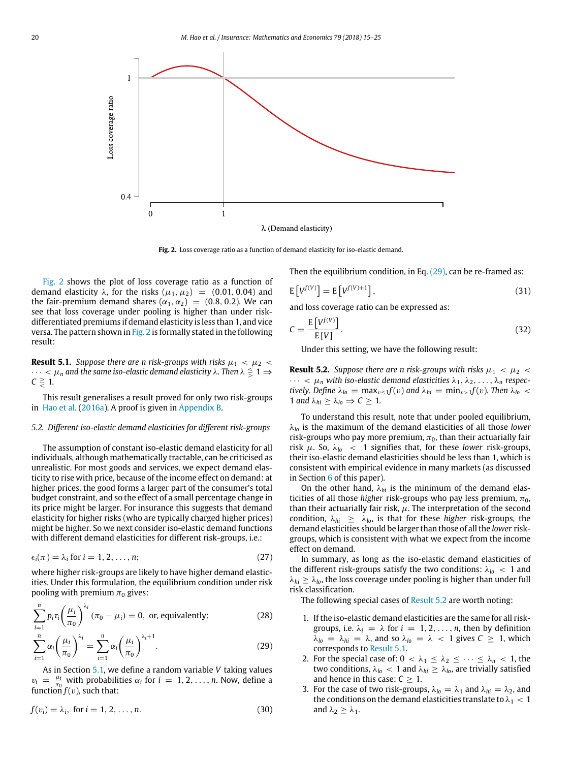<span id="page-6-0"></span>

**Fig. 2.** Loss coverage ratio as a function of demand elasticity for iso-elastic demand.

[Fig. 2](#page-5-0) shows the plot of loss coverage ratio as a function of demand elasticity  $\lambda$ , for the risks  $(\mu_1, \mu_2) = (0.01, 0.04)$  and the fair-premium demand shares  $(\alpha_1, \alpha_2) = (0.8, 0.2)$ . We can see that loss coverage under pooling is higher than under riskdifferentiated premiums if demand elasticity is less than 1, and vice versa. The pattern shown in [Fig. 2](#page-5-0) is formally stated in the following result:

**Result 5.1.** *Suppose there are n risk-groups with risks*  $\mu_1 < \mu_2 <$  $\cdots < \mu_n$  and the same iso-elastic demand elasticity  $\lambda$ . Then  $\lambda \leq 1 \Rightarrow$  $C \geq 1$ .

This result generalises a result proved for only two risk-groups in [Hao et al.](#page-10-2) [\(2016a\)](#page-10-2). A proof is given in [Appendix B.](#page-8-1)

#### *5.2. Different iso-elastic demand elasticities for different risk-groups*

The assumption of constant iso-elastic demand elasticity for all individuals, although mathematically tractable, can be criticised as unrealistic. For most goods and services, we expect demand elasticity to rise with price, because of the income effect on demand: at higher prices, the good forms a larger part of the consumer's total budget constraint, and so the effect of a small percentage change in its price might be larger. For insurance this suggests that demand elasticity for higher risks (who are typically charged higher prices) might be higher. So we next consider iso-elastic demand functions with different demand elasticities for different risk-groups, i.e.:

<span id="page-6-4"></span>
$$
\epsilon_i(\pi) = \lambda_i \text{ for } i = 1, 2, \dots, n; \tag{27}
$$

where higher risk-groups are likely to have higher demand elasticities. Under this formulation, the equilibrium condition under risk pooling with premium  $\pi_0$  gives:

$$
\sum_{i=1}^{n} p_i \tau_i \left(\frac{\mu_i}{\pi_0}\right)^{\lambda_i} (\pi_0 - \mu_i) = 0, \text{ or, equivalently:}
$$
 (28)

$$
\sum_{i=1}^{n} \alpha_i \left(\frac{\mu_i}{\pi_0}\right)^{\lambda_i} = \sum_{i=1}^{n} \alpha_i \left(\frac{\mu_i}{\pi_0}\right)^{\lambda_i+1}.
$$
 (29)

As in Section [5.1,](#page-4-7) we define a random variable *V* taking values  $v_i = \frac{\mu_i}{\pi_0}$  with probabilities  $\alpha_i$  for  $i = 1, 2, ..., n$ . Now, define a function  $f(v)$ , such that:

$$
f(v_i) = \lambda_i, \text{ for } i = 1, 2, \dots, n. \tag{30}
$$

Then the equilibrium condition, in Eq.  $(29)$ , can be re-framed as:

$$
E[V^{f(V)}] = E[V^{f(V)+1}], \qquad (31)
$$

and loss coverage ratio can be expressed as:

$$
C = \frac{E[V^{f(V)}]}{E[V]}.\tag{32}
$$

<span id="page-6-1"></span>Under this setting, we have the following result:

**Result 5.2.** *Suppose there are n risk-groups with risks*  $\mu_1 < \mu_2 <$  $\cdots$  <  $\mu_n$  with iso-elastic demand elasticities  $\lambda_1, \lambda_2, \ldots, \lambda_n$  respec*tively. Define*  $\lambda_{lo} = \max_{v \leq 1} f(v)$  *and*  $\lambda_{hi} = \min_{v > 1} f(v)$ *. Then*  $\lambda_{lo}$ 1 *and*  $\lambda_{hi} \geq \lambda_{lo} \Rightarrow C \geq 1$ *.* 

To understand this result, note that under pooled equilibrium, λ*lo* is the maximum of the demand elasticities of all those *lower* risk-groups who pay more premium,  $\pi_0$ , than their actuarially fair risk  $\mu$ . So,  $\lambda_{lo} < 1$  signifies that, for these *lower* risk-groups, their iso-elastic demand elasticities should be less than 1, which is consistent with empirical evidence in many markets (as discussed in Section [6](#page-7-0) of this paper).

On the other hand,  $\lambda_{hi}$  is the minimum of the demand elasticities of all those *higher* risk-groups who pay less premium,  $\pi_0$ , than their actuarially fair risk,  $\mu$ . The interpretation of the second condition,  $\lambda_{hi} \geq \lambda_{lo}$ , is that for these *higher* risk-groups, the demand elasticities should be larger than those of all the *lower* riskgroups, which is consistent with what we expect from the income effect on demand.

In summary, as long as the iso-elastic demand elasticities of the different risk-groups satisfy the two conditions:  $\lambda_{lo} < 1$  and  $\lambda_{hi} \geq \lambda_{lo}$ , the loss coverage under pooling is higher than under full risk classification.

<span id="page-6-2"></span>The following special cases of [Result 5.2](#page-5-2) are worth noting:

- 1. If the iso-elastic demand elasticities are the same for all riskgroups, i.e.  $\lambda_i = \lambda$  for  $i = 1, 2, ..., n$ , then by definition  $\lambda_{lo} = \lambda_{hi} = \lambda$ , and so  $\lambda_{lo} = \lambda < 1$  gives  $C \geq 1$ , which corresponds to [Result 5.1.](#page-5-3)
- <span id="page-6-3"></span>2. For the special case of:  $0 < \lambda_1 \leq \lambda_2 \leq \cdots \leq \lambda_n < 1$ , the two conditions,  $\lambda_{lo}$  < 1 and  $\lambda_{hi}$   $\geq \lambda_{lo}$ , are trivially satisfied and hence in this case:  $C \geq 1$ .
- 3. For the case of two risk-groups,  $\lambda_{lo} = \lambda_1$  and  $\lambda_{hi} = \lambda_2$ , and the conditions on the demand elasticities translate to  $\lambda_1 < 1$ and  $\lambda_2 \geq \lambda_1$ .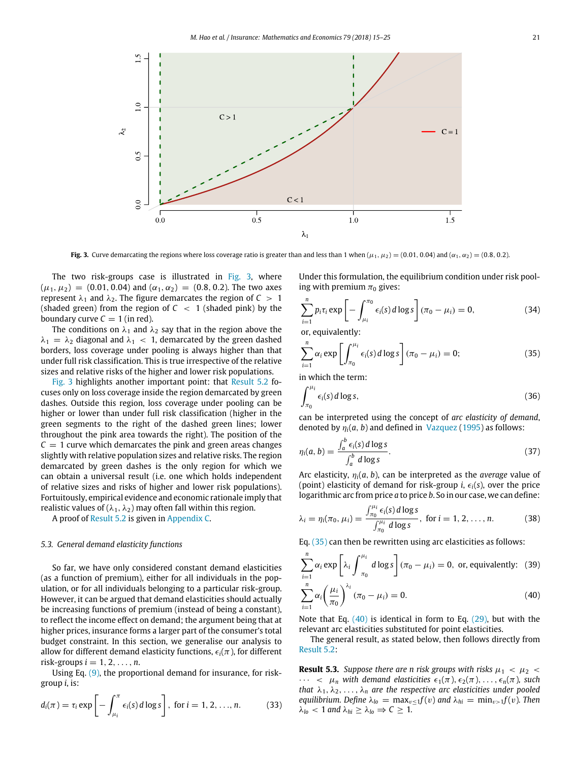

<span id="page-7-3"></span><span id="page-7-0"></span>**Fig. 3.** Curve demarcating the regions where loss coverage ratio is greater than and less than 1 when ( $\mu_1, \mu_2$ ) = (0.01, 0.04) and ( $\alpha_1, \alpha_2$ ) = (0.8, 0.2).

The two risk-groups case is illustrated in [Fig. 3,](#page-6-0) where  $(\mu_1, \mu_2) = (0.01, 0.04)$  and  $(\alpha_1, \alpha_2) = (0.8, 0.2)$ . The two axes represent  $\lambda_1$  and  $\lambda_2$ . The figure demarcates the region of  $C > 1$ (shaded green) from the region of *C* < 1 (shaded pink) by the boundary curve  $C = 1$  (in red).

The conditions on  $\lambda_1$  and  $\lambda_2$  say that in the region above the  $\lambda_1 = \lambda_2$  diagonal and  $\lambda_1 < 1$ , demarcated by the green dashed borders, loss coverage under pooling is always higher than that under full risk classification. This is true irrespective of the relative sizes and relative risks of the higher and lower risk populations.

[Fig. 3](#page-6-0) highlights another important point: that [Result 5.2](#page-5-2) focuses only on loss coverage inside the region demarcated by green dashes. Outside this region, loss coverage under pooling can be higher or lower than under full risk classification (higher in the green segments to the right of the dashed green lines; lower throughout the pink area towards the right). The position of the  $C = 1$  curve which demarcates the pink and green areas changes slightly with relative population sizes and relative risks. The region demarcated by green dashes is the only region for which we can obtain a universal result (i.e. one which holds independent of relative sizes and risks of higher and lower risk populations). Fortuitously, empirical evidence and economic rationale imply that realistic values of  $(\lambda_1, \lambda_2)$  may often fall within this region.

A proof of [Result 5.2](#page-5-2) is given in [Appendix C.](#page-8-2)

#### *5.3. General demand elasticity functions*

So far, we have only considered constant demand elasticities (as a function of premium), either for all individuals in the population, or for all individuals belonging to a particular risk-group. However, it can be argued that demand elasticities should actually be increasing functions of premium (instead of being a constant), to reflect the income effect on demand; the argument being that at higher prices, insurance forms a larger part of the consumer's total budget constraint. In this section, we generalise our analysis to allow for different demand elasticity functions,  $\epsilon_i(\pi)$ , for different risk-groups  $i = 1, 2, \ldots, n$ .

Using Eq. [\(9\),](#page-3-1) the proportional demand for insurance, for riskgroup *i*, is:

<span id="page-7-4"></span>
$$
d_i(\pi) = \tau_i \exp\left[-\int_{\mu_i}^{\pi} \epsilon_i(s) d\log s\right], \text{ for } i = 1, 2, \ldots, n.
$$
 (33)

<span id="page-7-1"></span>Under this formulation, the equilibrium condition under risk pooling with premium  $\pi_0$  gives:

$$
\sum_{i=1}^{n} p_i \tau_i \exp\left[-\int_{\mu_i}^{\pi_0} \epsilon_i(s) d\log s\right] (\pi_0 - \mu_i) = 0,
$$
\n(34)

or, equivalently:

$$
\sum_{i=1}^{n} \alpha_i \exp\left[\int_{\pi_0}^{\mu_i} \epsilon_i(s) d\log s\right] (\pi_0 - \mu_i) = 0; \tag{35}
$$

in which the term:

$$
\int_{\pi_0}^{\mu_i} \epsilon_i(s) \, d \log s,\tag{36}
$$

can be interpreted using the concept of *arc elasticity of demand*, denoted by  $\eta_i(a, b)$  and defined in [Vazquez](#page-10-11) [\(1995\)](#page-10-11) as follows:

$$
\eta_i(a, b) = \frac{\int_a^b \epsilon_i(s) \, d \log s}{\int_a^b d \log s}.\tag{37}
$$

<span id="page-7-2"></span>Arc elasticity, η*i*(*a*, *b*), can be interpreted as the *average* value of (point) elasticity of demand for risk-group *i*,  $\epsilon_i(s)$ , over the price logarithmic arc from price *a* to price *b*. So in our case, we can define:

$$
\lambda_i = \eta_i(\pi_0, \mu_i) = \frac{\int_{\pi_0}^{\mu_i} \epsilon_i(s) \, d \log s}{\int_{\pi_0}^{\mu_i} \, d \log s}, \text{ for } i = 1, 2, \dots, n. \tag{38}
$$

Eq. [\(35\)](#page-6-1) can then be rewritten using arc elasticities as follows:

<span id="page-7-7"></span>
$$
\sum_{i=1}^{n} \alpha_i \exp\left[\lambda_i \int_{\pi_0}^{\mu_i} d\log s\right] (\pi_0 - \mu_i) = 0, \text{ or, equivalently: (39)}
$$
  

$$
\sum_{i=1}^{n} \alpha_i \left(\frac{\mu_i}{\mu_i}\right)^{\lambda_i} (\pi_0 - \mu_i) = 0.
$$
 (40)

$$
\sum_{i=1} \alpha_i \left( \frac{\mu_i}{\pi_0} \right) \quad (\pi_0 - \mu_i) = 0. \tag{40}
$$

<span id="page-7-5"></span>Note that Eq. [\(40\)](#page-6-2) is identical in form to Eq. [\(29\),](#page-5-1) but with the relevant arc elasticities substituted for point elasticities.

The general result, as stated below, then follows directly from [Result 5.2:](#page-5-2)

<span id="page-7-6"></span>**Result 5.3.** *Suppose there are n risk groups with risks*  $\mu_1 < \mu_2 <$  $\cdots$  <  $\mu_n$  with demand elasticities  $\epsilon_1(\pi)$ ,  $\epsilon_2(\pi)$ , ...,  $\epsilon_n(\pi)$ , such *that*  $\lambda_1, \lambda_2, \ldots, \lambda_n$  *are the respective arc elasticities under pooled equilibrium. Define*  $\lambda_{lo} = \max_{v \leq 1} f(v)$  *and*  $\lambda_{hi} = \min_{v > 1} f(v)$ *. Then*  $\lambda_{lo} < 1$  *and*  $\lambda_{hi} \geq \lambda_{lo} \Rightarrow C \geq 1$ *.*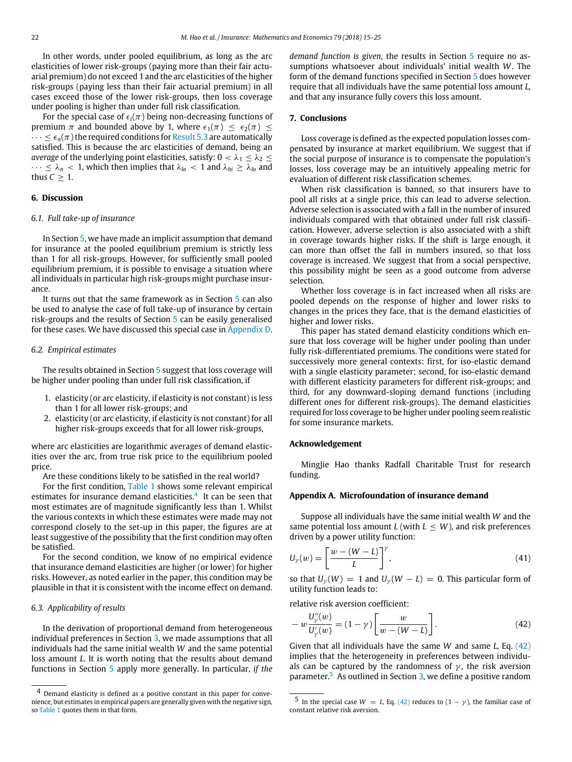<span id="page-8-3"></span>In other words, under pooled equilibrium, as long as the arc elasticities of lower risk-groups (paying more than their fair actuarial premium) do not exceed 1 and the arc elasticities of the higher risk-groups (paying less than their fair actuarial premium) in all cases exceed those of the lower risk-groups, then loss coverage under pooling is higher than under full risk classification.

For the special case of  $\epsilon_i(\pi)$  being non-decreasing functions of premium  $\pi$  and bounded above by 1, where  $\epsilon_1(\pi) < \epsilon_2(\pi) <$  $\cdots < \epsilon_n(\pi)$  the required conditions for [Result 5.3](#page-6-3) are automatically satisfied. This is because the arc elasticities of demand, being an *average* of the underlying point elasticities, satisfy:  $0 < \lambda_1 < \lambda_2 <$  $\cdots \leq \lambda_n < 1$ , which then implies that  $\lambda_{lo} < 1$  and  $\lambda_{hi} \geq \lambda_{lo}$  and thus  $C > 1$ .

#### **6. Discussion**

#### *6.1. Full take-up of insurance*

In Section [5,](#page-4-0) we have made an implicit assumption that demand for insurance at the pooled equilibrium premium is strictly less than 1 for all risk-groups. However, for sufficiently small pooled equilibrium premium, it is possible to envisage a situation where all individuals in particular high risk-groups might purchase insurance.

It turns out that the same framework as in Section [5](#page-4-0) can also be used to analyse the case of full take-up of insurance by certain risk-groups and the results of Section [5](#page-4-0) can be easily generalised for these cases. We have discussed this special case in [Appendix D.](#page-9-0)

#### <span id="page-8-4"></span>*6.2. Empirical estimates*

The results obtained in Section [5](#page-4-0) suggest that loss coverage will be higher under pooling than under full risk classification, if

- 1. elasticity (or arc elasticity, if elasticity is not constant) is less than 1 for all lower risk-groups; and
- 2. elasticity (or arc elasticity, if elasticity is not constant) for all higher risk-groups exceeds that for all lower risk-groups,

where arc elasticities are logarithmic averages of demand elasticities over the arc, from true risk price to the equilibrium pooled price.

<span id="page-8-0"></span>Are these conditions likely to be satisfied in the real world?

For the first condition, [Table 1](#page-8-3) shows some relevant empirical estimates for insurance demand elasticities.<sup>[4](#page-7-4)</sup> It can be seen that most estimates are of magnitude significantly less than 1. Whilst the various contexts in which these estimates were made may not correspond closely to the set-up in this paper, the figures are at least suggestive of the possibility that the first condition may often be satisfied.

For the second condition, we know of no empirical evidence that insurance demand elasticities are higher (or lower) for higher risks. However, as noted earlier in the paper, this condition may be plausible in that it is consistent with the income effect on demand.

#### *6.3. Applicability of results*

<span id="page-8-5"></span>In the derivation of proportional demand from heterogeneous individual preferences in Section [3,](#page-1-1) we made assumptions that all individuals had the same initial wealth *W* and the same potential loss amount *L*. It is worth noting that the results about demand functions in Section [5](#page-4-0) apply more generally. In particular, *if the* *demand function is given*, the results in Section [5](#page-4-0) require no assumptions whatsoever about individuals' initial wealth *W*. The form of the demand functions specified in Section [5](#page-4-0) does however require that all individuals have the same potential loss amount *L*, and that any insurance fully covers this loss amount.

#### **7. Conclusions**

Loss coverage is defined as the expected population losses compensated by insurance at market equilibrium. We suggest that if the social purpose of insurance is to compensate the population's losses, loss coverage may be an intuitively appealing metric for evaluation of different risk classification schemes.

When risk classification is banned, so that insurers have to pool all risks at a single price, this can lead to adverse selection. Adverse selection is associated with a fall in the number of insured individuals compared with that obtained under full risk classification. However, adverse selection is also associated with a shift in coverage towards higher risks. If the shift is large enough, it can more than offset the fall in numbers insured, so that loss coverage is increased. We suggest that from a social perspective, this possibility might be seen as a good outcome from adverse selection.

<span id="page-8-1"></span>Whether loss coverage is in fact increased when all risks are pooled depends on the response of higher and lower risks to changes in the prices they face, that is the demand elasticities of higher and lower risks.

<span id="page-8-6"></span>This paper has stated demand elasticity conditions which ensure that loss coverage will be higher under pooling than under fully risk-differentiated premiums. The conditions were stated for successively more general contexts: first, for iso-elastic demand with a single elasticity parameter; second, for iso-elastic demand with different elasticity parameters for different risk-groups; and third, for any downward-sloping demand functions (including different ones for different risk-groups). The demand elasticities required for loss coverage to be higher under pooling seem realistic for some insurance markets.

#### **Acknowledgement**

MingJie Hao thanks Radfall Charitable Trust for research funding.

#### **Appendix A. Microfoundation of insurance demand**

Suppose all individuals have the same initial wealth *W* and the same potential loss amount *L* (with  $L \leq W$ ), and risk preferences driven by a power utility function:

$$
U_{\gamma}(w) = \left[\frac{w - (W - L)}{L}\right]^{\gamma},\tag{41}
$$

so that  $U_{\nu}(W) = 1$  and  $U_{\nu}(W - L) = 0$ . This particular form of utility function leads to:

relative risk aversion coefficient:

$$
-w\frac{U_{\gamma}''(w)}{U_{\gamma}'(w)} = (1 - \gamma) \left[ \frac{w}{w - (W - L)} \right].
$$
 (42)

Given that all individuals have the same *W* and same *L*, Eq. [\(42\)](#page-7-5) implies that the heterogeneity in preferences between individuals can be captured by the randomness of  $\gamma$ , the risk aversion parameter.<sup>[5](#page-7-6)</sup> As outlined in Section [3,](#page-1-1) we define a positive random

<sup>4</sup> Demand elasticity is defined as a positive constant in this paper for convenience, but estimates in empirical papers are generally given with the negative sign, so [Table 1](#page-8-3) quotes them in that form.

<span id="page-8-2"></span><sup>&</sup>lt;sup>5</sup> In the special case *W* = *L*, Eq. [\(42\)](#page-7-5) reduces to (1 –  $\gamma$ ), the familiar case of constant relative risk aversion.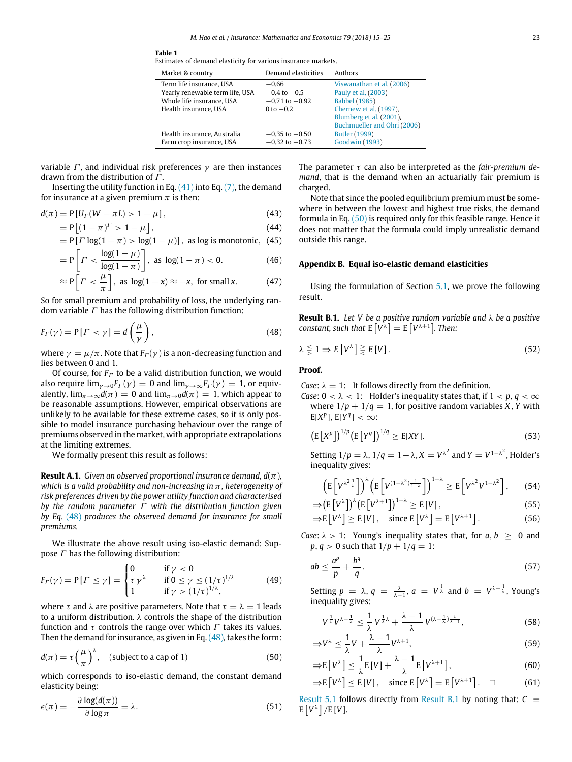**Table 1**

|  | Estimates of demand elasticity for various insurance markets. |  |  |
|--|---------------------------------------------------------------|--|--|
|  |                                                               |  |  |

| Market & country                                                                         | Demand elasticities                               | Authors                                                                  |  |
|------------------------------------------------------------------------------------------|---------------------------------------------------|--------------------------------------------------------------------------|--|
| Term life insurance, USA<br>Yearly renewable term life, USA<br>Whole life insurance, USA | $-0.66$<br>$-0.4$ to $-0.5$<br>$-0.71$ to $-0.92$ | Viswanathan et al. (2006)<br>Pauly et al. (2003)<br><b>Babbel (1985)</b> |  |
| Health insurance. USA                                                                    | 0 to $-0.2$                                       | Chernew et al. (1997),<br>Blumberg et al. (2001).                        |  |
| Health insurance, Australia<br>Farm crop insurance, USA                                  | $-0.35$ to $-0.50$<br>$-0.32$ to $-0.73$          | Buchmueller and Ohri (2006)<br>Butler (1999)<br><b>Goodwin (1993)</b>    |  |

<span id="page-9-3"></span>variable  $\Gamma$ , and individual risk preferences  $\gamma$  are then instances drawn from the distribution of  $\Gamma$ .

Inserting the utility function in Eq.  $(41)$  into Eq.  $(7)$ , the demand for insurance at a given premium  $\pi$  is then:

$$
d(\pi) = P[U_{\Gamma}(W - \pi L) > 1 - \mu], \qquad (43)
$$

$$
= P [(1 - \pi)^{\Gamma} > 1 - \mu], \qquad (44)
$$

$$
= P[T \log(1 - \pi) > \log(1 - \mu)], \text{ as log is monotonic, (45)}
$$

<span id="page-9-1"></span>
$$
= P\left[\Gamma < \frac{\log(1 - \mu)}{\log(1 - \pi)}\right], \text{ as } \log(1 - \pi) < 0. \tag{46}
$$

$$
\approx P\left[\Gamma < \frac{\mu}{\pi}\right], \text{ as } \log(1-x) \approx -x, \text{ for small } x. \tag{47}
$$

So for small premium and probability of loss, the underlying random variable  $\Gamma$  has the following distribution function:

$$
F_{\Gamma}(\gamma) = P[\Gamma < \gamma] = d\left(\frac{\mu}{\gamma}\right),\tag{48}
$$

where  $\gamma = \mu/\pi$ . Note that  $F_{\Gamma}(\gamma)$  is a non-decreasing function and lies between 0 and 1.

Of course, for  $F<sub>Γ</sub>$  to be a valid distribution function, we would also require  $\lim_{\gamma \to 0} F_{\Gamma}(\gamma) = 0$  and  $\lim_{\gamma \to \infty} F_{\Gamma}(\gamma) = 1$ , or equivalently,  $\lim_{\pi \to \infty} d(\pi) = 0$  and  $\lim_{\pi \to 0} d(\pi) = 1$ , which appear to be reasonable assumptions. However, empirical observations are unlikely to be available for these extreme cases, so it is only possible to model insurance purchasing behaviour over the range of premiums observed in the market, with appropriate extrapolations at the limiting extremes.

We formally present this result as follows:

 $\epsilon$ 

<span id="page-9-2"></span>**Result A.1.** *Given an observed proportional insurance demand,*  $d(\pi)$ *, which is a valid probability and non-increasing in* π, heterogeneity of *risk preferences driven by the power utility function and characterised by the random parameter* Γ *with the distribution function given by Eq*. [\(48\)](#page-8-4) *produces the observed demand for insurance for small premiums.*

<span id="page-9-0"></span>We illustrate the above result using iso-elastic demand: Suppose  $\Gamma$  has the following distribution:

$$
F_{\Gamma}(\gamma) = P[\Gamma \le \gamma] = \begin{cases} 0 & \text{if } \gamma < 0 \\ \tau \gamma^{\lambda} & \text{if } 0 \le \gamma \le (1/\tau)^{1/\lambda} \\ 1 & \text{if } \gamma > (1/\tau)^{1/\lambda}, \end{cases}
$$
(49)

where  $\tau$  and  $\lambda$  are positive parameters. Note that  $\tau = \lambda = 1$  leads to a uniform distribution. λ controls the shape of the distribution function and  $\tau$  controls the range over which  $\Gamma$  takes its values. Then the demand for insurance, as given in Eq. [\(48\),](#page-8-4) takes the form:

$$
d(\pi) = \tau \left(\frac{\mu}{\pi}\right)^{\lambda}, \quad \text{(subject to a cap of 1)}\tag{50}
$$

which corresponds to iso-elastic demand, the constant demand elasticity being:

$$
\epsilon(\pi) = -\frac{\partial \log(d(\pi))}{\partial \log \pi} = \lambda.
$$
 (51)

The parameter τ can also be interpreted as the *fair-premium demand*, that is the demand when an actuarially fair premium is charged.

Note that since the pooled equilibrium premium must be somewhere in between the lowest and highest true risks, the demand formula in Eq. [\(50\)](#page-8-5) is required only for this feasible range. Hence it does not matter that the formula could imply unrealistic demand outside this range.

#### <span id="page-9-4"></span>**Appendix B. Equal iso-elastic demand elasticities**

Using the formulation of Section [5.1,](#page-4-7) we prove the following result.

**Result B.1.** *Let V be a positive random variable and* λ *be a positive constant, such that*  $E[V^{\lambda}] = E[V^{\lambda+1}]$ *. Then:* 

$$
\lambda \leq 1 \Rightarrow E\left[V^{\lambda}\right] \geq E\left[V\right].\tag{52}
$$

#### **Proof.**

*Case*:  $\lambda = 1$ : It follows directly from the definition.

*Case*:  $0 < \lambda < 1$ : Holder's inequality states that, if  $1 < p, q < \infty$ where  $1/p + 1/q = 1$ , for positive random variables *X*, *Y* with  $E[X^p]$ ,  $E[Y^q] < \infty$ :

$$
\left(\mathsf{E}\left[X^p\right]\right)^{1/p}\left(\mathsf{E}\left[Y^q\right]\right)^{1/q} \ge \mathsf{E}[XY].\tag{53}
$$

Setting  $1/p = \lambda$ ,  $1/q = 1 - \lambda$ ,  $X = V^{\lambda^2}$  and  $Y = V^{1-\lambda^2}$ , Holder's inequality gives:

$$
\left(E\left[V^{\lambda^2 \frac{1}{\lambda}}\right]\right)^{\lambda}\left(E\left[V^{(1-\lambda^2)\frac{1}{1-\lambda}}\right]\right)^{1-\lambda} \ge E\left[V^{\lambda^2}V^{1-\lambda^2}\right],\qquad(54)
$$

$$
\Rightarrow \left( \mathbb{E} \left[ V^{\lambda} \right] \right)^{\lambda} \left( \mathbb{E} \left[ V^{\lambda+1} \right] \right)^{1-\lambda} \ge \mathbb{E} \left[ V \right],\tag{55}
$$

$$
\Rightarrow E[V^{\lambda}] \ge E[V], \quad \text{since } E[V^{\lambda}] = E[V^{\lambda+1}]. \tag{56}
$$

*Case*:  $\lambda > 1$ : Young's inequality states that, for  $a, b \ge 0$  and *p*, *q* > 0 such that  $1/p + 1/q = 1$ :

$$
ab \leq \frac{a^p}{p} + \frac{b^q}{q}.\tag{57}
$$

Setting  $p = \lambda$ ,  $q = \frac{\lambda}{\lambda - 1}$ ,  $a = V^{\frac{1}{\lambda}}$  and  $b = V^{\lambda - \frac{1}{\lambda}}$ , Young's inequality gives:

$$
V^{\frac{1}{\lambda}}V^{\lambda-\frac{1}{\lambda}} \leq \frac{1}{\lambda}V^{\frac{1}{\lambda}\lambda} + \frac{\lambda-1}{\lambda}V^{(\lambda-\frac{1}{\lambda})\frac{\lambda}{\lambda-1}},
$$
\n(58)

$$
\Rightarrow V^{\lambda} \le \frac{1}{\lambda}V + \frac{\lambda - 1}{\lambda}V^{\lambda + 1},\tag{59}
$$

$$
\Rightarrow E[V^{\lambda}] \leq \frac{1}{\lambda} E[V] + \frac{\lambda - 1}{\lambda} E[V^{\lambda + 1}], \qquad (60)
$$

$$
\Rightarrow E[V^{\lambda}] \le E[V], \quad \text{since } E[V^{\lambda}] = E[V^{\lambda+1}]. \quad \Box \tag{61}
$$

[Result 5.1](#page-5-3) follows directly from [Result B.1](#page-8-6) by noting that:  $C =$  $E[V^{\lambda}] / E[V].$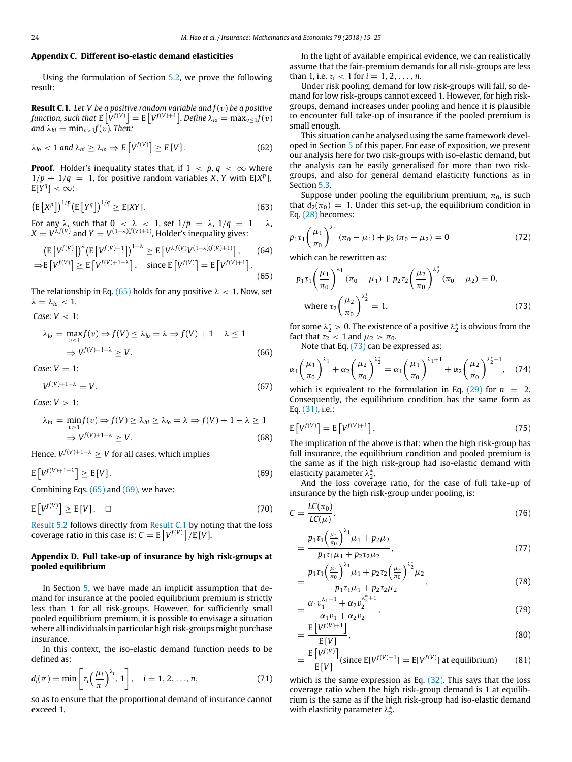#### **Appendix C. Different iso-elastic demand elasticities**

Using the formulation of Section [5.2,](#page-5-4) we prove the following result:

<span id="page-10-20"></span>**Result C.1.** *Let V be a positive random variable and f* (v) *be a positive* function, such that  $\text{E}\left[V^{f(V)}\right] = \text{E}\left[V^{f(V)+1}\right]$ . Define  $\lambda_{lo} = \max_{v\leq 1} f(v)$ *and*  $\lambda_{hi} = \min_{v>1} f(v)$ *. Then:* 

$$
\lambda_{lo} < 1 \text{ and } \lambda_{hi} \ge \lambda_{lo} \Rightarrow E\left[V^{f(V)}\right] \ge E\left[V\right].\tag{62}
$$

**Proof.** Holder's inequality states that, if  $1 \lt p, q \lt \infty$  where  $1/p + 1/q = 1$ , for positive random variables *X*, *Y* with E[ $X<sup>p</sup>$ ],  $E[Y^q] < \infty$ :

$$
\left(\mathbb{E}\left[X^p\right]\right)^{1/p}\left(\mathbb{E}\left[Y^q\right]\right)^{1/q} \ge \mathbb{E}[XY].\tag{63}
$$

<span id="page-10-14"></span>For any  $\lambda$ , such that  $0 < \lambda < 1$ , set  $1/p = \lambda$ ,  $1/q = 1 - \lambda$ ,  $X = V^{\lambda f(V)}$  and  $Y = V^{(1-\lambda)(f(V)+1)}$ , Holder's inequality gives:

<span id="page-10-18"></span><span id="page-10-17"></span><span id="page-10-16"></span>
$$
\begin{aligned} \left(\mathrm{E}\left[V^{f(V)}\right]\right)^{\lambda}\left(\mathrm{E}\left[V^{f(V)+1}\right]\right)^{1-\lambda} &\geq \mathrm{E}\left[V^{\lambda f(V)}V^{(1-\lambda)(f(V)+1)}\right],\qquad(64) \\ \Rightarrow \mathrm{E}\left[V^{f(V)}\right] &\geq \mathrm{E}\left[V^{f(V)+1-\lambda}\right],\quad\text{since }\mathrm{E}\left[V^{f(V)}\right] = \mathrm{E}\left[V^{f(V)+1}\right].\end{aligned} \tag{65}
$$

<span id="page-10-15"></span>The relationship in Eq. [\(65\)](#page-9-1) holds for any positive  $\lambda < 1$ . Now, set  $\lambda = \lambda_{lo} < 1$ .

<span id="page-10-10"></span><span id="page-10-1"></span>Case: 
$$
V < 1
$$
:  
\n
$$
\lambda_{lo} = \max_{v \le 1} f(v) \Rightarrow f(V) \le \lambda_{lo} = \lambda \Rightarrow f(V) + 1 - \lambda \le 1
$$
\n
$$
\Rightarrow V^{f(V) + 1 - \lambda} \ge V.
$$
\n(66)

 $Case: V = 1$ :

$$
V^{f(V)+1-\lambda} = V.\tag{67}
$$

*Case: V* > 1:

$$
\lambda_{hi} = \min_{v>1} f(v) \Rightarrow f(V) \ge \lambda_{hi} \ge \lambda_{lo} = \lambda \Rightarrow f(V) + 1 - \lambda \ge 1
$$
  

$$
\Rightarrow V^{f(V)+1-\lambda} \ge V.
$$
 (68)

Hence, *V <sup>f</sup>* (*V*)+1−<sup>λ</sup> ≥ *V* for all cases, which implies

$$
E\left[V^{f(V)+1-\lambda}\right] \ge E\left[V\right].\tag{69}
$$

Combining Eqs.  $(65)$  and  $(69)$ , we have:

 $\mathsf{E}\left[V^{f(V)}\right] \geq \mathsf{E}\left[V\right]$ .  $\Box$  (70)

[Result 5.2](#page-5-2) follows directly from [Result C.1](#page-9-3) by noting that the loss coverage ratio in this case is:  $C = E\left[V^{f(V)}\right]/E\left[V\right]$ .

#### **Appendix D. Full take-up of insurance by high risk-groups at pooled equilibrium**

In Section [5,](#page-4-0) we have made an implicit assumption that demand for insurance at the pooled equilibrium premium is strictly less than 1 for all risk-groups. However, for sufficiently small pooled equilibrium premium, it is possible to envisage a situation where all individuals in particular high risk-groups might purchase insurance.

In this context, the iso-elastic demand function needs to be defined as:

$$
d_i(\pi) = \min\left[\tau_i\left(\frac{\mu_i}{\pi}\right)^{\lambda_i}, 1\right], \quad i = 1, 2, \ldots, n,
$$
\n(71)

so as to ensure that the proportional demand of insurance cannot exceed 1.

<span id="page-10-6"></span>In the light of available empirical evidence, we can realistically assume that the fair-premium demands for all risk-groups are less than 1, i.e.  $\tau_i$  < 1 for  $i = 1, 2, ..., n$ .

<span id="page-10-9"></span><span id="page-10-5"></span>Under risk pooling, demand for low risk-groups will fall, so demand for low risk-groups cannot exceed 1. However, for high riskgroups, demand increases under pooling and hence it is plausible to encounter full take-up of insurance if the pooled premium is small enough.

<span id="page-10-19"></span><span id="page-10-3"></span><span id="page-10-2"></span>This situation can be analysed using the same framework developed in Section [5](#page-4-0) of this paper. For ease of exposition, we present our analysis here for two risk-groups with iso-elastic demand, but the analysis can be easily generalised for more than two riskgroups, and also for general demand elasticity functions as in Section [5.3.](#page-6-4)

<span id="page-10-7"></span><span id="page-10-4"></span>Suppose under pooling the equilibrium premium,  $\pi_0$ , is such that  $d_2(\pi_0) = 1$ . Under this set-up, the equilibrium condition in Eq. [\(28\)](#page-5-5) becomes:

<span id="page-10-13"></span>
$$
p_1 \tau_1 \left(\frac{\mu_1}{\pi_0}\right)^{\lambda_1} \left(\pi_0 - \mu_1\right) + p_2 \left(\pi_0 - \mu_2\right) = 0 \tag{72}
$$

<span id="page-10-0"></span>which can be rewritten as:

<span id="page-10-8"></span>
$$
p_1 \tau_1 \left(\frac{\mu_1}{\pi_0}\right)^{\lambda_1} (\pi_0 - \mu_1) + p_2 \tau_2 \left(\frac{\mu_2}{\pi_0}\right)^{\lambda_2^*} (\pi_0 - \mu_2) = 0,
$$
  
where  $\tau_2 \left(\frac{\mu_2}{\pi_0}\right)^{\lambda_2^*} = 1,$  (73)

<span id="page-10-12"></span><span id="page-10-11"></span>for some  $\lambda_2^* > 0$ . The existence of a positive  $\lambda_2^*$  is obvious from the fact that  $\tau_2$  < 1 and  $\mu_2 > \pi_0$ .

Note that Eq. [\(73\)](#page-9-4) can be expressed as:

$$
\alpha_1 \left(\frac{\mu_1}{\pi_0}\right)^{\lambda_1} + \alpha_2 \left(\frac{\mu_2}{\pi_0}\right)^{\lambda_2^*} = \alpha_1 \left(\frac{\mu_1}{\pi_0}\right)^{\lambda_1 + 1} + \alpha_2 \left(\frac{\mu_2}{\pi_0}\right)^{\lambda_2^* + 1}, \quad (74)
$$

which is equivalent to the formulation in Eq.  $(29)$  for  $n = 2$ . Consequently, the equilibrium condition has the same form as Eq. [\(31\),](#page-5-6) i.e.:

$$
E[V^{f(V)}] = E[V^{f(V)+1}], \qquad (75)
$$

The implication of the above is that: when the high risk-group has full insurance, the equilibrium condition and pooled premium is the same as if the high risk-group had iso-elastic demand with elasticity parameter  $\lambda_2^*$ .

And the loss coverage ratio, for the case of full take-up of insurance by the high risk-group under pooling, is:

$$
C = \frac{LC(\pi_0)}{LC(\underline{\mu})},\tag{76}
$$

$$
=\frac{p_1\tau_1\left(\frac{\mu_1}{\pi_0}\right)^{\lambda_1}\mu_1+p_2\mu_2}{p_1\tau_1\mu_1+p_2\tau_2\mu_2},\tag{77}
$$

$$
=\frac{p_1\tau_1\left(\frac{\mu_1}{\pi_0}\right)^{\lambda_1}\mu_1+p_2\tau_2\left(\frac{\mu_2}{\pi_0}\right)^{\lambda_2^*}\mu_2}{p_1\tau_1\mu_1+p_2\tau_2\mu_2},\tag{78}
$$

$$
=\frac{\alpha_1 v_1^{\lambda_1+1} + \alpha_2 v_2^{\lambda_2^{*}+1}}{\alpha_1 v_1 + \alpha_2 v_2},\tag{79}
$$

$$
=\frac{\mathrm{E}\left[V^{f(V)+1}\right]}{\mathrm{E}\left[V\right]},\tag{80}
$$

$$
= \frac{E[V^{f(V)}]}{E[V]} \text{(since } E[V^{f(V)+1}] = E[V^{f(V)}] \text{ at equilibrium)} \tag{81}
$$

which is the same expression as Eq.  $(32)$ . This says that the loss coverage ratio when the high risk-group demand is 1 at equilibrium is the same as if the high risk-group had iso-elastic demand with elasticity parameter  $\lambda_2^*$ .